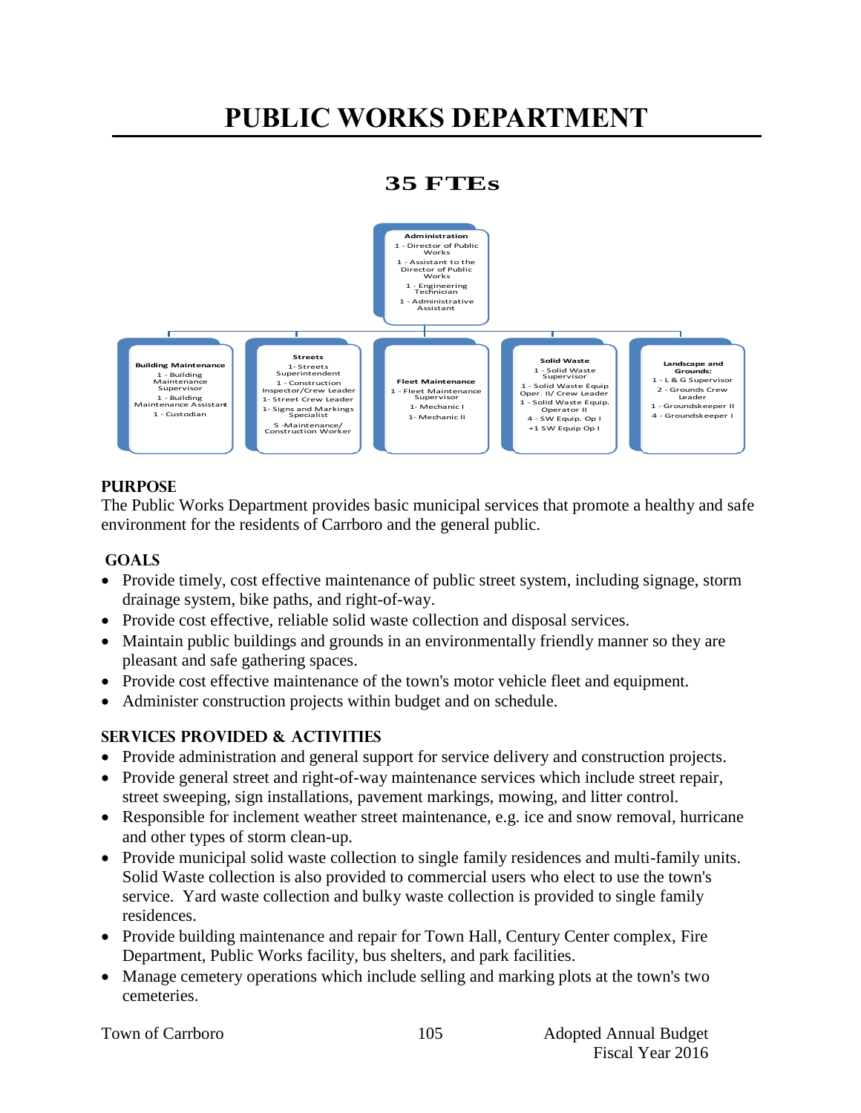# **PUBLIC WORKS DEPARTMENT**

# **35 FTEs**



### **PURPOSE**

The Public Works Department provides basic municipal services that promote a healthy and safe environment for the residents of Carrboro and the general public.

### **GOALS**

- Provide timely, cost effective maintenance of public street system, including signage, storm drainage system, bike paths, and right-of-way.
- Provide cost effective, reliable solid waste collection and disposal services.
- Maintain public buildings and grounds in an environmentally friendly manner so they are pleasant and safe gathering spaces.
- Provide cost effective maintenance of the town's motor vehicle fleet and equipment.
- Administer construction projects within budget and on schedule.

# **Services PROVIDED & ACTIVITIES**

- Provide administration and general support for service delivery and construction projects.
- Provide general street and right-of-way maintenance services which include street repair, street sweeping, sign installations, pavement markings, mowing, and litter control.
- Responsible for inclement weather street maintenance, e.g. ice and snow removal, hurricane and other types of storm clean-up.
- Provide municipal solid waste collection to single family residences and multi-family units. Solid Waste collection is also provided to commercial users who elect to use the town's service. Yard waste collection and bulky waste collection is provided to single family residences.
- Provide building maintenance and repair for Town Hall, Century Center complex, Fire Department, Public Works facility, bus shelters, and park facilities.
- Manage cemetery operations which include selling and marking plots at the town's two cemeteries.

|  |  | <b>Town of Carrboro</b> |
|--|--|-------------------------|
|--|--|-------------------------|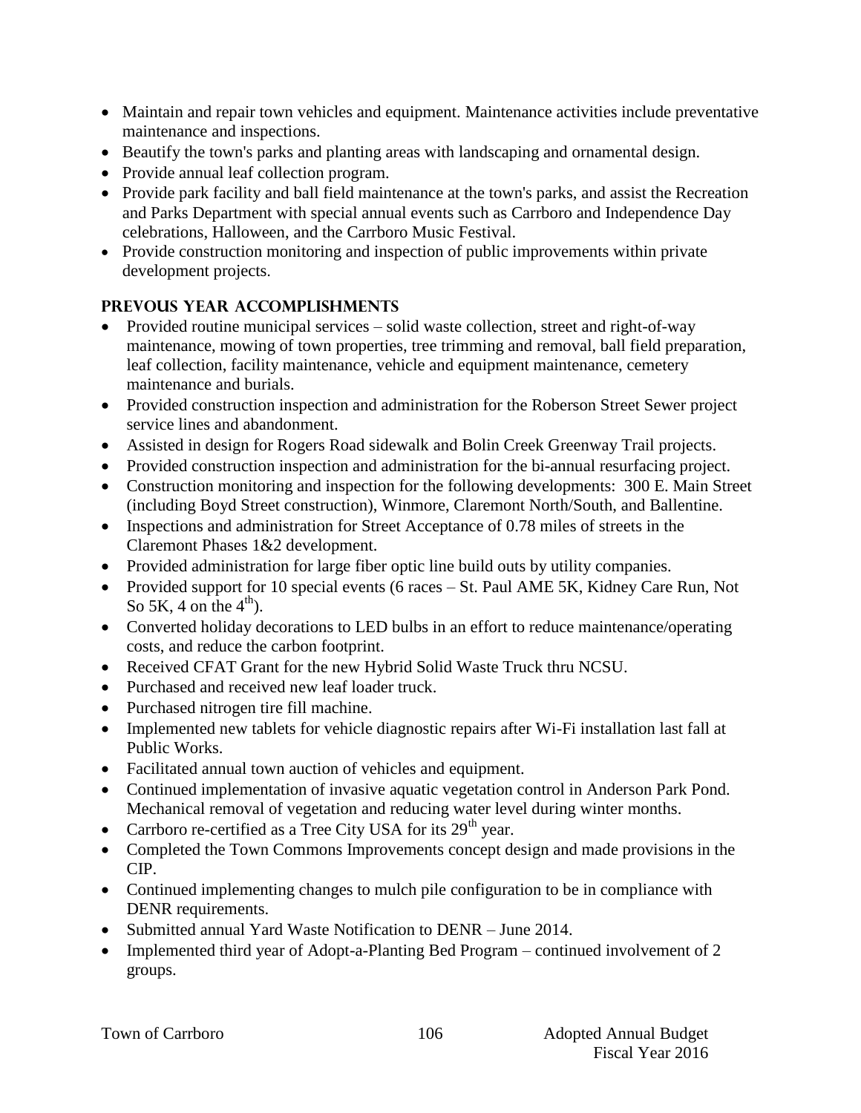- Maintain and repair town vehicles and equipment. Maintenance activities include preventative maintenance and inspections.
- Beautify the town's parks and planting areas with landscaping and ornamental design.
- Provide annual leaf collection program.
- Provide park facility and ball field maintenance at the town's parks, and assist the Recreation and Parks Department with special annual events such as Carrboro and Independence Day celebrations, Halloween, and the Carrboro Music Festival.
- Provide construction monitoring and inspection of public improvements within private development projects.

# **PREVOUS YEAR ACCOMPLISHMENTS**

- Provided routine municipal services solid waste collection, street and right-of-way maintenance, mowing of town properties, tree trimming and removal, ball field preparation, leaf collection, facility maintenance, vehicle and equipment maintenance, cemetery maintenance and burials.
- Provided construction inspection and administration for the Roberson Street Sewer project service lines and abandonment.
- Assisted in design for Rogers Road sidewalk and Bolin Creek Greenway Trail projects.
- Provided construction inspection and administration for the bi-annual resurfacing project.
- Construction monitoring and inspection for the following developments: 300 E. Main Street (including Boyd Street construction), Winmore, Claremont North/South, and Ballentine.
- Inspections and administration for Street Acceptance of 0.78 miles of streets in the Claremont Phases 1&2 development.
- Provided administration for large fiber optic line build outs by utility companies.
- Provided support for 10 special events (6 races St. Paul AME 5K, Kidney Care Run, Not So 5K, 4 on the  $4<sup>th</sup>$ ).
- Converted holiday decorations to LED bulbs in an effort to reduce maintenance/operating costs, and reduce the carbon footprint.
- Received CFAT Grant for the new Hybrid Solid Waste Truck thru NCSU.
- Purchased and received new leaf loader truck.
- Purchased nitrogen tire fill machine.
- Implemented new tablets for vehicle diagnostic repairs after Wi-Fi installation last fall at Public Works.
- Facilitated annual town auction of vehicles and equipment.
- Continued implementation of invasive aquatic vegetation control in Anderson Park Pond. Mechanical removal of vegetation and reducing water level during winter months.
- Carrboro re-certified as a Tree City USA for its  $29<sup>th</sup>$  year.
- Completed the Town Commons Improvements concept design and made provisions in the CIP.
- Continued implementing changes to mulch pile configuration to be in compliance with DENR requirements.
- Submitted annual Yard Waste Notification to DENR June 2014.
- Implemented third year of Adopt-a-Planting Bed Program continued involvement of 2 groups.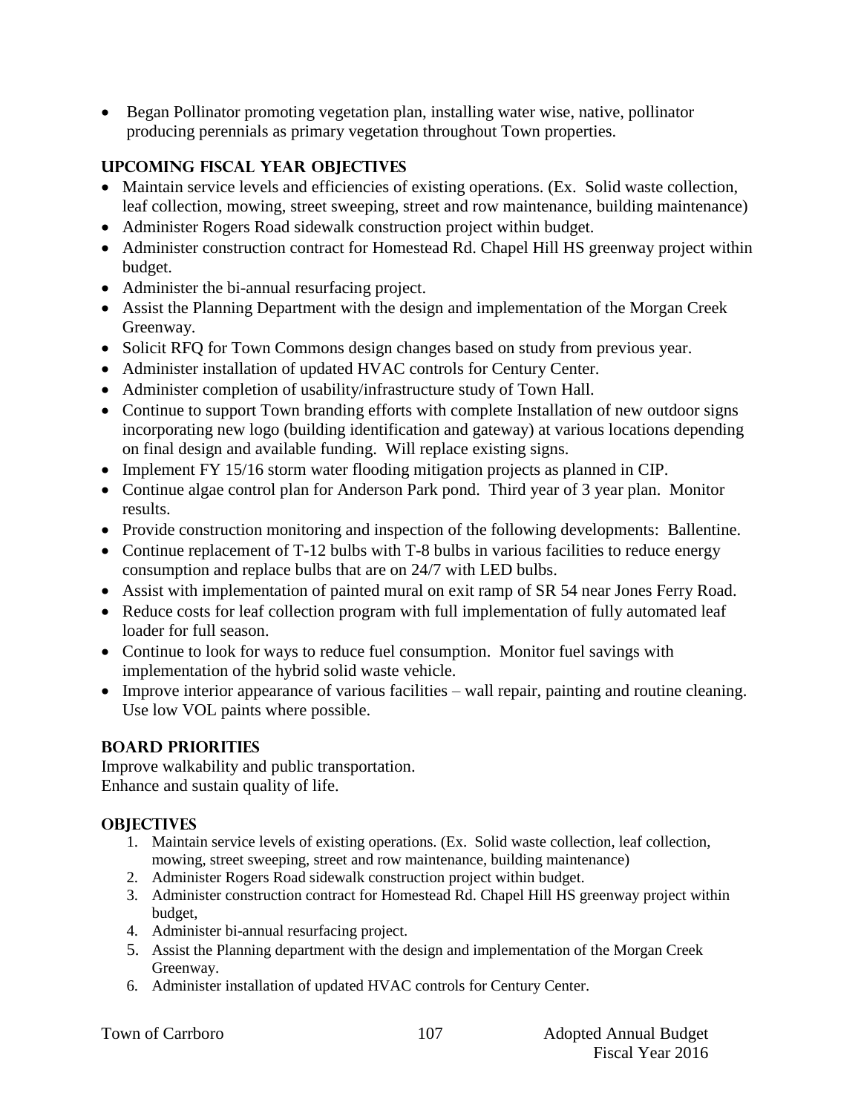Began Pollinator promoting vegetation plan, installing water wise, native, pollinator producing perennials as primary vegetation throughout Town properties.

# **UPCOMING FISCAL YEAR OBJECTIVES**

- Maintain service levels and efficiencies of existing operations. (Ex. Solid waste collection, leaf collection, mowing, street sweeping, street and row maintenance, building maintenance)
- Administer Rogers Road sidewalk construction project within budget.
- Administer construction contract for Homestead Rd. Chapel Hill HS greenway project within budget.
- Administer the bi-annual resurfacing project.
- Assist the Planning Department with the design and implementation of the Morgan Creek Greenway.
- Solicit RFQ for Town Commons design changes based on study from previous year.
- Administer installation of updated HVAC controls for Century Center.
- Administer completion of usability/infrastructure study of Town Hall.
- Continue to support Town branding efforts with complete Installation of new outdoor signs incorporating new logo (building identification and gateway) at various locations depending on final design and available funding. Will replace existing signs.
- Implement FY 15/16 storm water flooding mitigation projects as planned in CIP.
- Continue algae control plan for Anderson Park pond. Third year of 3 year plan. Monitor results.
- Provide construction monitoring and inspection of the following developments: Ballentine.
- Continue replacement of T-12 bulbs with T-8 bulbs in various facilities to reduce energy consumption and replace bulbs that are on 24/7 with LED bulbs.
- Assist with implementation of painted mural on exit ramp of SR 54 near Jones Ferry Road.
- Reduce costs for leaf collection program with full implementation of fully automated leaf loader for full season.
- Continue to look for ways to reduce fuel consumption. Monitor fuel savings with implementation of the hybrid solid waste vehicle.
- Improve interior appearance of various facilities wall repair, painting and routine cleaning. Use low VOL paints where possible.

# **BOARD PRIORITIES**

Improve walkability and public transportation. Enhance and sustain quality of life.

# **OBJECTIVES**

- 1. Maintain service levels of existing operations. (Ex. Solid waste collection, leaf collection, mowing, street sweeping, street and row maintenance, building maintenance)
- 2. Administer Rogers Road sidewalk construction project within budget.
- 3. Administer construction contract for Homestead Rd. Chapel Hill HS greenway project within budget,
- 4. Administer bi-annual resurfacing project.
- 5. Assist the Planning department with the design and implementation of the Morgan Creek Greenway.
- 6. Administer installation of updated HVAC controls for Century Center.

|  |  | Town of Carrboro |
|--|--|------------------|
|--|--|------------------|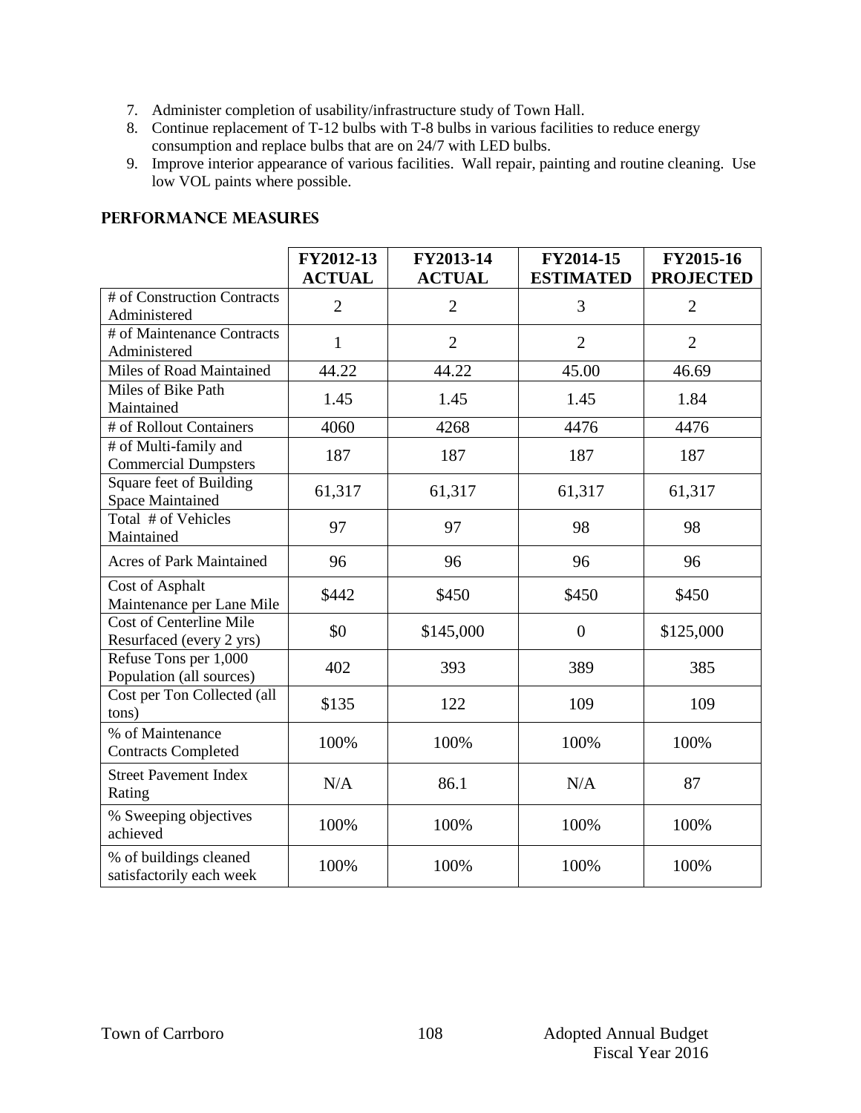- 7. Administer completion of usability/infrastructure study of Town Hall.
- 8. Continue replacement of T-12 bulbs with T-8 bulbs in various facilities to reduce energy consumption and replace bulbs that are on 24/7 with LED bulbs.
- 9. Improve interior appearance of various facilities. Wall repair, painting and routine cleaning. Use low VOL paints where possible.

|                                                            | FY2012-13<br><b>ACTUAL</b> | FY2013-14<br><b>ACTUAL</b> | FY2014-15<br><b>ESTIMATED</b> | FY2015-16<br><b>PROJECTED</b> |
|------------------------------------------------------------|----------------------------|----------------------------|-------------------------------|-------------------------------|
| # of Construction Contracts<br>Administered                | $\overline{2}$             | $\overline{2}$             | 3                             | $\overline{2}$                |
| # of Maintenance Contracts<br>Administered                 | $\mathbf{1}$               | $\overline{2}$             | $\overline{2}$                | $\overline{2}$                |
| Miles of Road Maintained                                   | 44.22                      | 44.22                      | 45.00                         | 46.69                         |
| Miles of Bike Path<br>Maintained                           | 1.45                       | 1.45                       | 1.45                          | 1.84                          |
| # of Rollout Containers                                    | 4060                       | 4268                       | 4476                          | 4476                          |
| # of Multi-family and<br><b>Commercial Dumpsters</b>       | 187                        | 187                        | 187                           | 187                           |
| Square feet of Building<br><b>Space Maintained</b>         | 61,317                     | 61,317                     | 61,317                        | 61,317                        |
| Total # of Vehicles<br>Maintained                          | 97                         | 97                         | 98                            | 98                            |
| <b>Acres of Park Maintained</b>                            | 96                         | 96                         | 96                            | 96                            |
| Cost of Asphalt<br>Maintenance per Lane Mile               | \$442                      | \$450                      | \$450                         | \$450                         |
| <b>Cost of Centerline Mile</b><br>Resurfaced (every 2 yrs) | \$0                        | \$145,000                  | $\boldsymbol{0}$              | \$125,000                     |
| Refuse Tons per 1,000<br>Population (all sources)          | 402                        | 393                        | 389                           | 385                           |
| Cost per Ton Collected (all<br>tons)                       | \$135                      | 122                        | 109                           | 109                           |
| % of Maintenance<br><b>Contracts Completed</b>             | 100%                       | 100%                       | 100%                          | 100%                          |
| <b>Street Pavement Index</b><br>Rating                     | N/A                        | 86.1                       | N/A                           | 87                            |
| % Sweeping objectives<br>achieved                          | 100%                       | 100%                       | 100%                          | 100%                          |
| % of buildings cleaned<br>satisfactorily each week         | 100%                       | 100%                       | 100%                          | 100%                          |

#### **PERFORMANCE MEASURES**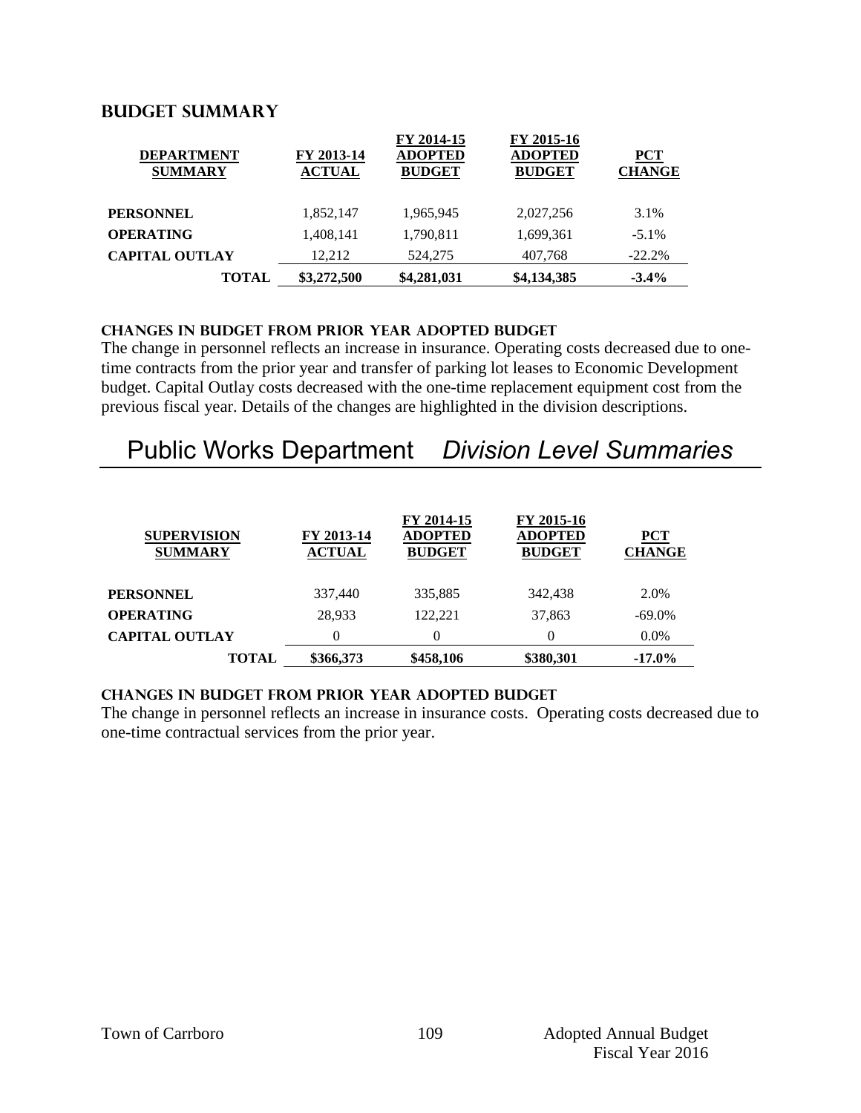## **Budget summary**

| <b>TOTAL</b>                        | \$3,272,500                 | \$4,281,031                                   | \$4,134,385                                   | $-3.4\%$                    |
|-------------------------------------|-----------------------------|-----------------------------------------------|-----------------------------------------------|-----------------------------|
| <b>CAPITAL OUTLAY</b>               | 12.212                      | 524,275                                       | 407,768                                       | $-22.2%$                    |
| <b>OPERATING</b>                    | 1,408,141                   | 1,790,811                                     | 1,699,361                                     | $-5.1\%$                    |
| <b>PERSONNEL</b>                    | 1.852.147                   | 1,965,945                                     | 2,027,256                                     | 3.1%                        |
| <b>DEPARTMENT</b><br><b>SUMMARY</b> | FY 2013-14<br><b>ACTUAL</b> | FY 2014-15<br><b>ADOPTED</b><br><b>BUDGET</b> | FY 2015-16<br><b>ADOPTED</b><br><b>BUDGET</b> | <b>PCT</b><br><b>CHANGE</b> |

#### **CHANGES IN BUDGET from PRIOR YEAR ADOPTED BUDGET**

The change in personnel reflects an increase in insurance. Operating costs decreased due to onetime contracts from the prior year and transfer of parking lot leases to Economic Development budget. Capital Outlay costs decreased with the one-time replacement equipment cost from the previous fiscal year. Details of the changes are highlighted in the division descriptions.

# Public Works Department *Division Level Summaries*

| <b>SUPERVISION</b><br><b>SUMMARY</b> | FY 2013-14<br><b>ACTUAL</b> | FY 2014-15<br><b>ADOPTED</b><br><b>BUDGET</b> | FY 2015-16<br><b>ADOPTED</b><br><b>BUDGET</b> | <b>PCT</b><br><b>CHANGE</b> |
|--------------------------------------|-----------------------------|-----------------------------------------------|-----------------------------------------------|-----------------------------|
| PERSONNEL                            | 337,440                     | 335,885                                       | 342,438                                       | 2.0%                        |
| <b>OPERATING</b>                     | 28,933                      | 122.221                                       | 37,863                                        | $-69.0\%$                   |
| <b>CAPITAL OUTLAY</b>                |                             | 0                                             | $\theta$                                      | 0.0%                        |
| <b>TOTAL</b>                         | \$366,373                   | \$458,106                                     | \$380,301                                     | $-17.0\%$                   |

#### **changes in budget from prior year adopted budget**

The change in personnel reflects an increase in insurance costs. Operating costs decreased due to one-time contractual services from the prior year.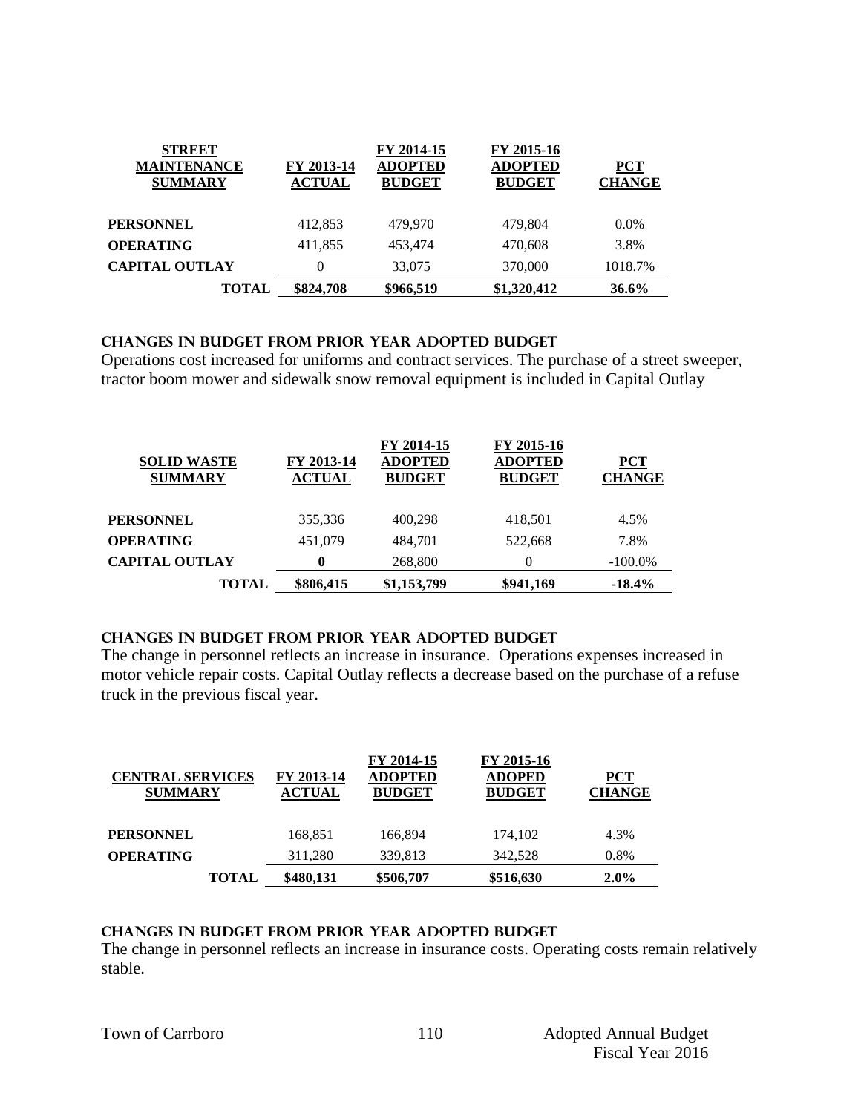| <b>STREET</b><br><b>MAINTENANCE</b><br><b>SUMMARY</b> | FY 2013-14<br><b>ACTUAL</b> | FY 2014-15<br><b>ADOPTED</b><br><b>BUDGET</b> | FY 2015-16<br><b>ADOPTED</b><br><b>BUDGET</b> | <b>PCT</b><br><b>CHANGE</b> |
|-------------------------------------------------------|-----------------------------|-----------------------------------------------|-----------------------------------------------|-----------------------------|
| <b>PERSONNEL</b>                                      | 412,853                     | 479.970                                       | 479.804                                       | $0.0\%$                     |
| <b>OPERATING</b>                                      | 411,855                     | 453,474                                       | 470.608                                       | 3.8%                        |
| <b>CAPITAL OUTLAY</b>                                 | 0                           | 33,075                                        | 370,000                                       | 1018.7%                     |
| <b>TOTAL</b>                                          | \$824,708                   | \$966,519                                     | \$1,320,412                                   | $36.6\%$                    |

#### **Changes in budget from prior year adopted budget**

Operations cost increased for uniforms and contract services. The purchase of a street sweeper, tractor boom mower and sidewalk snow removal equipment is included in Capital Outlay

| <b>SOLID WASTE</b><br><b>SUMMARY</b> | FY 2013-14<br><b>ACTUAL</b> | FY 2014-15<br><b>ADOPTED</b><br><b>BUDGET</b> | FY 2015-16<br><b>ADOPTED</b><br><b>BUDGET</b> | <b>PCT</b><br><b>CHANGE</b> |
|--------------------------------------|-----------------------------|-----------------------------------------------|-----------------------------------------------|-----------------------------|
| PERSONNEL                            | 355,336                     | 400,298                                       | 418,501                                       | 4.5%                        |
| OPERATING                            | 451,079                     | 484.701                                       | 522,668                                       | 7.8%                        |
| <b>CAPITAL OUTLAY</b>                | 0                           | 268,800                                       | $\Omega$                                      | $-100.0\%$                  |
| <b>TOTAL</b>                         | \$806,415                   | \$1,153,799                                   | \$941,169                                     | $-18.4%$                    |

#### **changes in budget from prior year adopted budget**

The change in personnel reflects an increase in insurance. Operations expenses increased in motor vehicle repair costs. Capital Outlay reflects a decrease based on the purchase of a refuse truck in the previous fiscal year.

| <b>CENTRAL SERVICES</b><br><b>SUMMARY</b> | FY 2013-14<br><b>ACTUAL</b> | FY 2014-15<br><b>ADOPTED</b><br><b>BUDGET</b> | FY 2015-16<br><b>ADOPED</b><br><b>BUDGET</b> | <b>PCT</b><br><b>CHANGE</b> |
|-------------------------------------------|-----------------------------|-----------------------------------------------|----------------------------------------------|-----------------------------|
| <b>PERSONNEL</b>                          | 168,851                     | 166,894                                       | 174.102                                      | 4.3%                        |
| <b>OPERATING</b>                          | 311,280                     | 339,813                                       | 342,528                                      | 0.8%                        |
| TOTAL                                     | \$480,131                   | \$506,707                                     | \$516,630                                    | $2.0\%$                     |

#### **changes in budget from prior year adopted budget**

The change in personnel reflects an increase in insurance costs. Operating costs remain relatively stable.